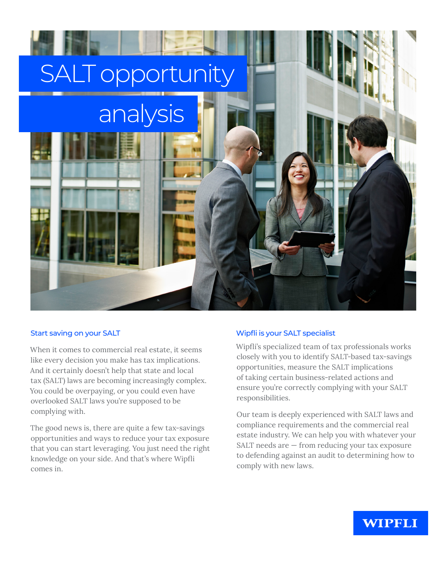

# Start saving on your SALT

When it comes to commercial real estate, it seems like every decision you make has tax implications. And it certainly doesn't help that state and local tax (SALT) laws are becoming increasingly complex. You could be overpaying, or you could even have overlooked SALT laws you're supposed to be complying with.

The good news is, there are quite a few tax-savings opportunities and ways to reduce your tax exposure that you can start leveraging. You just need the right knowledge on your side. And that's where Wipfli comes in.

# Wipfli is your SALT specialist

Wipfli's specialized team of tax professionals works closely with you to identify SALT-based tax-savings opportunities, measure the SALT implications of taking certain business-related actions and ensure you're correctly complying with your SALT responsibilities.

Our team is deeply experienced with SALT laws and compliance requirements and the commercial real estate industry. We can help you with whatever your SALT needs are — from reducing your tax exposure to defending against an audit to determining how to comply with new laws.

# **WIPFLI**